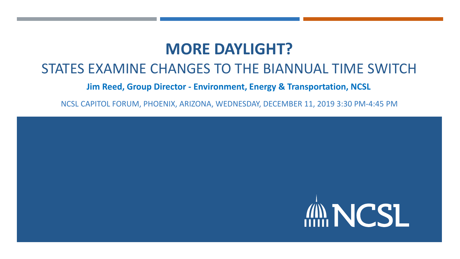## **MORE DAYLIGHT?**

### STATES EXAMINE CHANGES TO THE BIANNUAL TIME SWITCH

#### **Jim Reed, Group Director - Environment, Energy & Transportation, NCSL**

NCSL CAPITOL FORUM, PHOENIX, ARIZONA, WEDNESDAY, DECEMBER 11, 2019 3:30 PM-4:45 PM

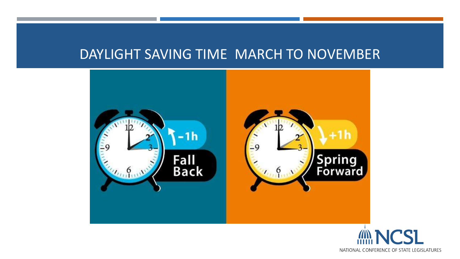### DAYLIGHT SAVING TIME MARCH TO NOVEMBER



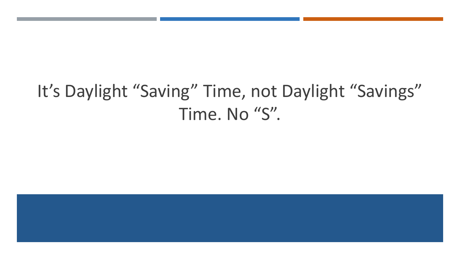# It's Daylight "Saving" Time, not Daylight "Savings" Time. No "S".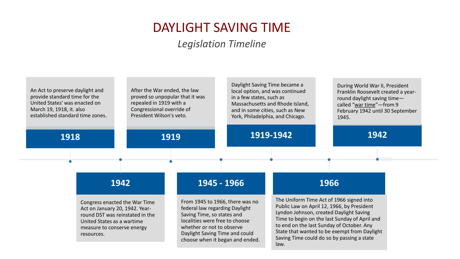## DAYLIGHT SAVING TIME

#### *Legislation Timeline*

| An Act to preserve daylight and<br>provide standard time for the<br>United States' was enacted on<br>March 19, 1918, it. also<br>established standard time zones.            | After the War ended, the law<br>proved so unpopular that it was<br>repealed in 1919 with a<br>Congressional override of<br>President Wilson's veto. |                                                                                                                                                                                                                                     | Daylight Saving Time became a<br>local option, and was continued<br>in a few states, such as<br>Massachusetts and Rhode Island,<br>and in some cities, such as New<br>York, Philadelphia, and Chicago. |                                                                                                                                                                                                                                                                                                                                       | During World War II, President<br>Franklin Roosevelt created a year-<br>round daylight saving time-<br>called "war time"-from 9<br>February 1942 until 30 September<br>1945. |
|------------------------------------------------------------------------------------------------------------------------------------------------------------------------------|-----------------------------------------------------------------------------------------------------------------------------------------------------|-------------------------------------------------------------------------------------------------------------------------------------------------------------------------------------------------------------------------------------|--------------------------------------------------------------------------------------------------------------------------------------------------------------------------------------------------------|---------------------------------------------------------------------------------------------------------------------------------------------------------------------------------------------------------------------------------------------------------------------------------------------------------------------------------------|------------------------------------------------------------------------------------------------------------------------------------------------------------------------------|
| 1918                                                                                                                                                                         |                                                                                                                                                     | 1919                                                                                                                                                                                                                                | 1919-1942                                                                                                                                                                                              |                                                                                                                                                                                                                                                                                                                                       | 1942                                                                                                                                                                         |
|                                                                                                                                                                              | 1942                                                                                                                                                | 1945 - 1966                                                                                                                                                                                                                         |                                                                                                                                                                                                        |                                                                                                                                                                                                                                                                                                                                       | 1966                                                                                                                                                                         |
| Congress enacted the War Time<br>Act on January 20, 1942. Year-<br>round DST was reinstated in the<br>United States as a wartime<br>measure to conserve energy<br>resources. |                                                                                                                                                     | From 1945 to 1966, there was no<br>federal law regarding Daylight<br>Saving Time, so states and<br>localities were free to choose<br>whether or not to observe<br>Daylight Saving Time and could<br>choose when it began and ended. |                                                                                                                                                                                                        | The Uniform Time Act of 1966 signed into<br>Public Law on April 12, 1966, by President<br>Lyndon Johnson, created Daylight Saving<br>Time to begin on the last Sunday of April and<br>to end on the last Sunday of October. Any<br>State that wanted to be exempt from Daylight<br>Saving Time could do so by passing a state<br>law. |                                                                                                                                                                              |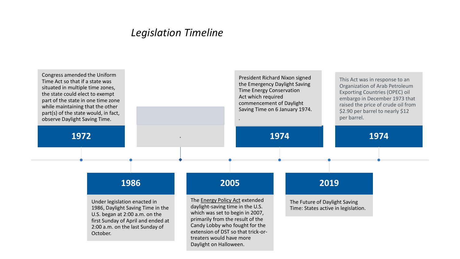#### *Legislation Timeline*

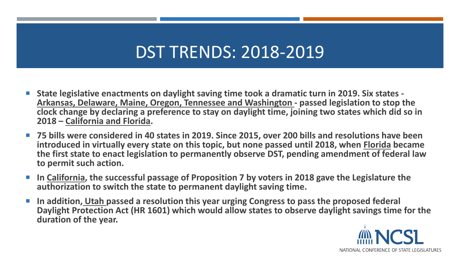# DST TRENDS: 2018-2019

- **State legislative enactments on daylight saving time took a dramatic turn in 2019. Six states - Arkansas, Delaware, Maine, Oregon, Tennessee and Washington - passed legislation to stop the clock change by declaring a preference to stay on daylight time, joining two states which did so in 2018 – California and Florida.**
- 75 bills were considered in 40 states in 2019. Since 2015, over 200 bills and resolutions have been **introduced in virtually every state on this topic, but none passed until 2018, when Florida became the first state to enact legislation to permanently observe DST, pending amendment of federal law to permit such action.**
- In California, the successful passage of Proposition 7 by voters in 2018 gave the Legislature the **authorization to switch the state to permanent daylight saving time.**
- **In addition, Utah passed a resolution this year urging Congress to pass the proposed federal Daylight Protection Act (HR 1601) which would allow states to observe daylight savings time for the duration of the year.**

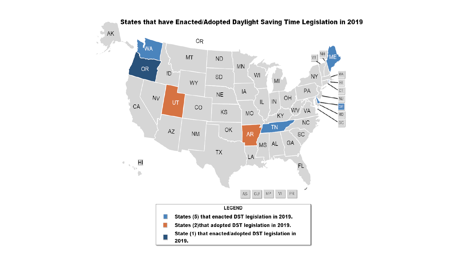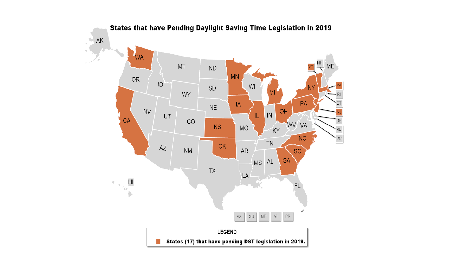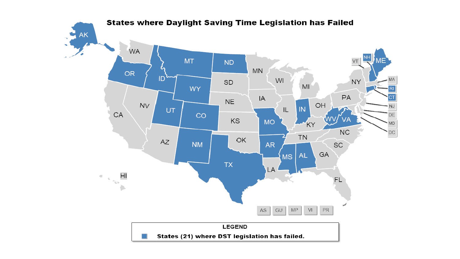